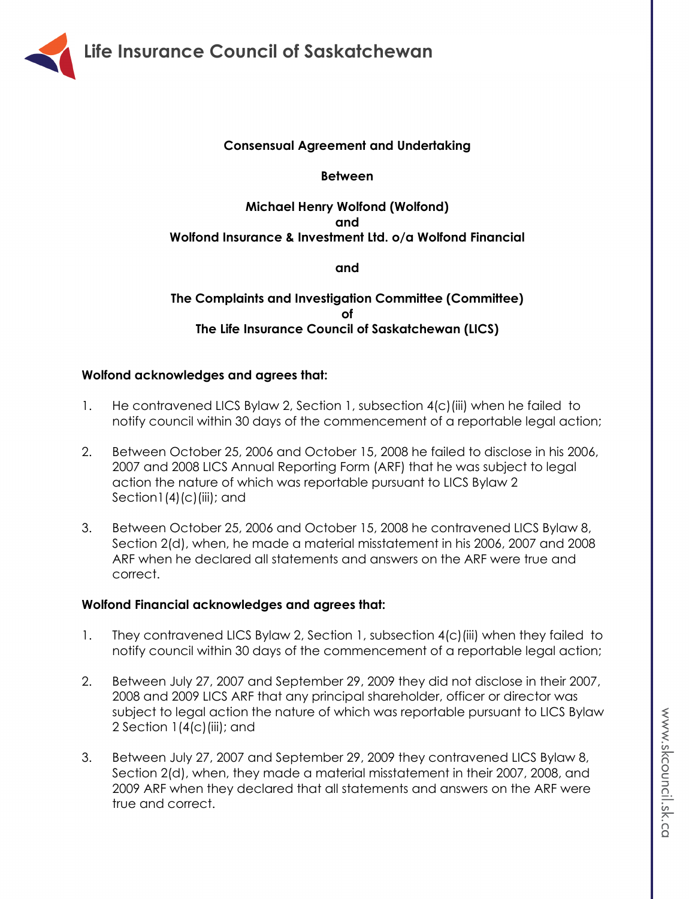

## **Consensual Agreement and Undertaking**

#### **Between**

# **Michael Henry Wolfond (Wolfond) and Wolfond Insurance & Investment Ltd. o/a Wolfond Financial**

**and**

**The Complaints and Investigation Committee (Committee) of The Life Insurance Council of Saskatchewan (LICS)**

## **Wolfond acknowledges and agrees that:**

- 1. He contravened LICS Bylaw 2, Section 1, subsection 4(c)(iii) when he failed to notify council within 30 days of the commencement of a reportable legal action;
- 2. Between October 25, 2006 and October 15, 2008 he failed to disclose in his 2006, 2007 and 2008 LICS Annual Reporting Form (ARF) that he was subject to legal action the nature of which was reportable pursuant to LICS Bylaw 2 Section  $1(4)(c)(iii)$ ; and
- 3. Between October 25, 2006 and October 15, 2008 he contravened LICS Bylaw 8, Section 2(d), when, he made a material misstatement in his 2006, 2007 and 2008 ARF when he declared all statements and answers on the ARF were true and correct.

### **Wolfond Financial acknowledges and agrees that:**

- 1. They contravened LICS Bylaw 2, Section 1, subsection 4(c)(iii) when they failed to notify council within 30 days of the commencement of a reportable legal action;
- 2. Between July 27, 2007 and September 29, 2009 they did not disclose in their 2007, 2008 and 2009 LICS ARF that any principal shareholder, officer or director was subject to legal action the nature of which was reportable pursuant to LICS Bylaw 2 Section  $1(4(c))$  (iii); and
- 3. Between July 27, 2007 and September 29, 2009 they contravened LICS Bylaw 8, Section 2(d), when, they made a material misstatement in their 2007, 2008, and 2009 ARF when they declared that all statements and answers on the ARF were true and correct.